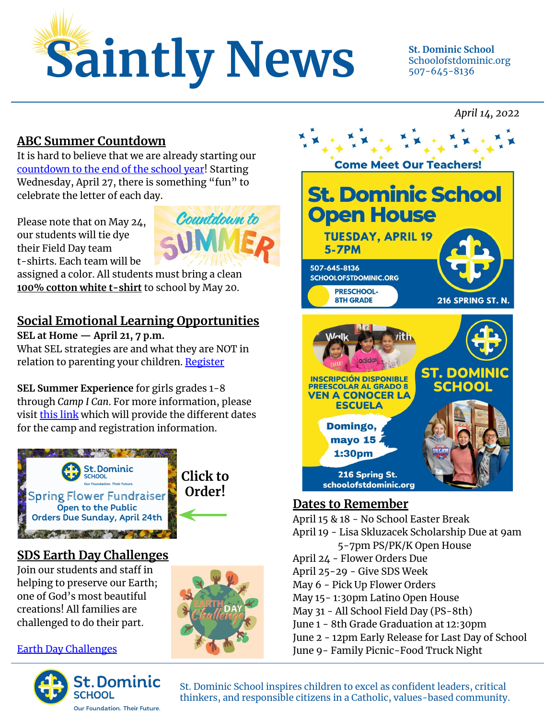

Countdown to

### Schoolofstdominic.org 507-645-8136

#### *April 14, 2022*

#### **ABC Summer Countdown**

It is hard to believe that we are already starting our [countdown to the end of the school year](https://schoolofstdominic.org/documents/abc-countdown-2022/)! Starting Wednesday, April 27, there is something "fun" to celebrate the letter of each day.

Please note that on May 24, our students will tie dye their Field Day team t-shirts. Each team will be

assigned a color. All students must bring a clean **100% cotton white t-shirt** to school by May 20.

#### **Social Emotional Learning Opportunities**

**SEL at Home — April 21, 7 p.m.** What SEL strategies are and what they are NOT in relation to parenting your children. [Register](https://calendly.com/drjulesnolan/sel-at-home-for-parents)

**SEL Summer Experience** for girls grades 1-8 through *Camp I Can*. For more information, please visi[t](http://www.campicanforgirls.com/) [this link](http://www.campicanforgirls.com) which will provide the different dates for the camp and registration information.





#### **SDS Earth Day Challenges**

Join our students and staff in helping to preserve our Earth; one of God's most beautiful creations! All families are challenged to do their part.

[Earth Day Challenges](https://schoolofstdominic.org/documents/earth-day-2022-challenges/)







#### **Dates to Remember**

April 15 & 18 - No School Easter Break April 19 - Lisa Skluzacek Scholarship Due at 9am 5-7pm PS/PK/K Open House April 24 - Flower Orders Due April 25-29 - Give SDS Week May 6 - Pick Up Flower Orders May 15- 1:30pm Latino Open House May 31 - All School Field Day (PS-8th) June 1 - 8th Grade Graduation at 12:30pm June 2 - 12pm Early Release for Last Day of School June 9- Family Picnic-Food Truck Night

St. Dominic School inspires children to excel as confident leaders, critical thinkers, and responsible citizens in a Catholic, values-based community.